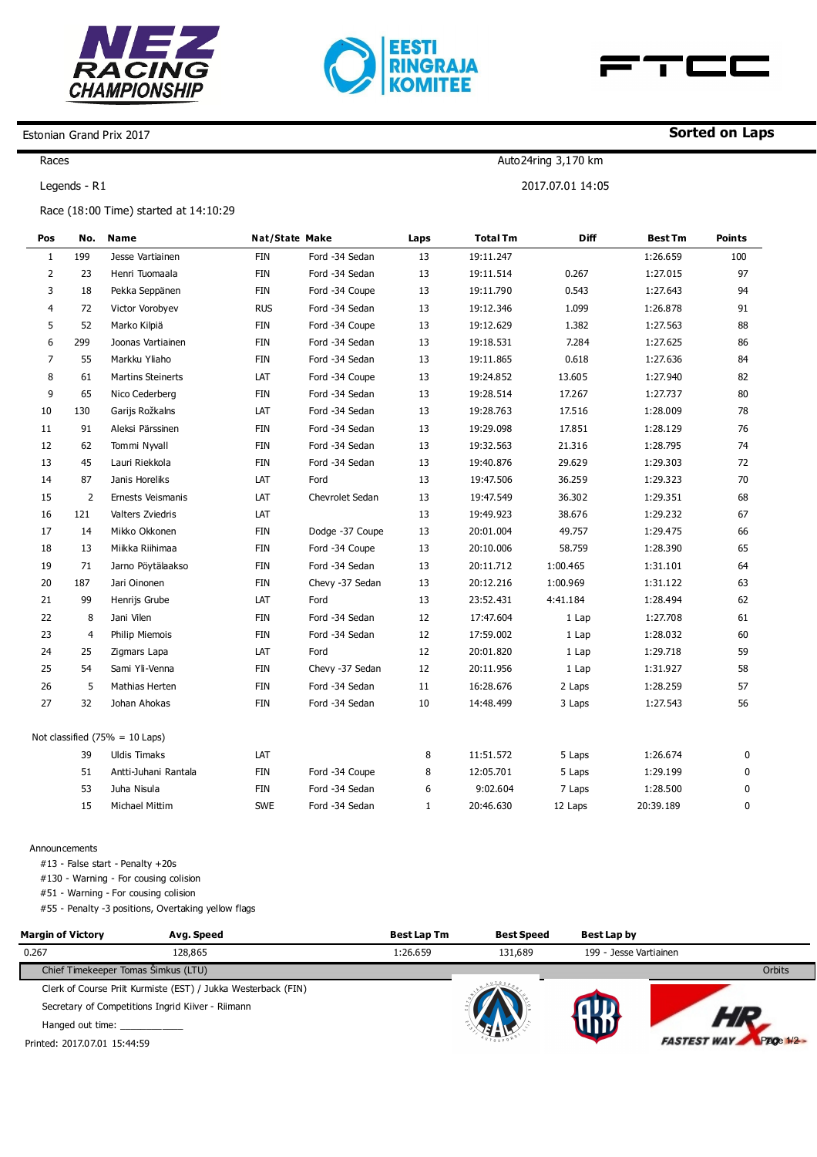





Auto24ring 3,170 km

2017.07.01 14:05

## Estonian Grand Prix 2017

Races

Legends - R1

Race (18:00 Time) started at 14:10:29

| Pos            | No.            | <b>Name</b>                               |            | <b>Nat/State Make</b> | Laps         | <b>Total Tm</b> | <b>Diff</b> | <b>Best Tm</b> | <b>Points</b> |
|----------------|----------------|-------------------------------------------|------------|-----------------------|--------------|-----------------|-------------|----------------|---------------|
| $\mathbf{1}$   | 199            | Jesse Vartiainen                          | <b>FIN</b> | Ford -34 Sedan        | 13           | 19:11.247       |             | 1:26.659       | 100           |
| $\overline{2}$ | 23             | Henri Tuomaala                            | FIN        | Ford -34 Sedan        | 13           | 19:11.514       | 0.267       | 1:27.015       | 97            |
| 3              | 18             | Pekka Seppänen                            | FIN        | Ford -34 Coupe        | 13           | 19:11.790       | 0.543       | 1:27.643       | 94            |
| 4              | 72             | Victor Vorobyev                           | <b>RUS</b> | Ford -34 Sedan        | 13           | 19:12.346       | 1.099       | 1:26.878       | 91            |
| 5              | 52             | Marko Kilpiä                              | <b>FIN</b> | Ford -34 Coupe        | 13           | 19:12.629       | 1.382       | 1:27.563       | 88            |
| 6              | 299            | Joonas Vartiainen                         | <b>FIN</b> | Ford -34 Sedan        | 13           | 19:18.531       | 7.284       | 1:27.625       | 86            |
| $\overline{7}$ | 55             | Markku Yliaho                             | <b>FIN</b> | Ford -34 Sedan        | 13           | 19:11.865       | 0.618       | 1:27.636       | 84            |
| 8              | 61             | <b>Martins Steinerts</b>                  | LAT        | Ford -34 Coupe        | 13           | 19:24.852       | 13.605      | 1:27.940       | 82            |
| 9              | 65             | Nico Cederberg                            | <b>FIN</b> | Ford -34 Sedan        | 13           | 19:28.514       | 17.267      | 1:27.737       | 80            |
| 10             | 130            | Garijs Rožkalns                           | LAT        | Ford -34 Sedan        | 13           | 19:28.763       | 17.516      | 1:28.009       | 78            |
| 11             | 91             | Aleksi Pärssinen                          | FIN        | Ford -34 Sedan        | 13           | 19:29.098       | 17.851      | 1:28.129       | 76            |
| 12             | 62             | Tommi Nyvall                              | <b>FIN</b> | Ford -34 Sedan        | 13           | 19:32.563       | 21.316      | 1:28.795       | 74            |
| 13             | 45             | Lauri Riekkola                            | FIN        | Ford -34 Sedan        | 13           | 19:40.876       | 29.629      | 1:29.303       | 72            |
| 14             | 87             | Janis Horeliks                            | LAT        | Ford                  | 13           | 19:47.506       | 36.259      | 1:29.323       | 70            |
| 15             | $\overline{2}$ | Ernests Veismanis                         | LAT        | Chevrolet Sedan       | 13           | 19:47.549       | 36.302      | 1:29.351       | 68            |
| 16             | 121            | Valters Zviedris                          | LAT        |                       | 13           | 19:49.923       | 38.676      | 1:29.232       | 67            |
| 17             | 14             | Mikko Okkonen                             | <b>FIN</b> | Dodge -37 Coupe       | 13           | 20:01.004       | 49.757      | 1:29.475       | 66            |
| 18             | 13             | Miikka Riihimaa                           | FIN        | Ford -34 Coupe        | 13           | 20:10.006       | 58.759      | 1:28.390       | 65            |
| 19             | 71             | Jarno Pöytälaakso                         | <b>FIN</b> | Ford -34 Sedan        | 13           | 20:11.712       | 1:00.465    | 1:31.101       | 64            |
| 20             | 187            | Jari Oinonen                              | FIN        | Chevy -37 Sedan       | 13           | 20:12.216       | 1:00.969    | 1:31.122       | 63            |
| 21             | 99             | Henrijs Grube                             | LAT        | Ford                  | 13           | 23:52.431       | 4:41.184    | 1:28.494       | 62            |
| 22             | 8              | Jani Vilen                                | <b>FIN</b> | Ford -34 Sedan        | 12           | 17:47.604       | 1 Lap       | 1:27.708       | 61            |
| 23             | $\overline{4}$ | Philip Miemois                            | FIN        | Ford -34 Sedan        | 12           | 17:59.002       | 1 Lap       | 1:28.032       | 60            |
| 24             | 25             | Zigmars Lapa                              | LAT        | Ford                  | 12           | 20:01.820       | 1 Lap       | 1:29.718       | 59            |
| 25             | 54             | Sami Yli-Venna                            | FIN        | Chevy -37 Sedan       | 12           | 20:11.956       | 1 Lap       | 1:31.927       | 58            |
| 26             | 5              | Mathias Herten                            | FIN        | Ford -34 Sedan        | 11           | 16:28.676       | 2 Laps      | 1:28.259       | 57            |
| 27             | 32             | Johan Ahokas                              | <b>FIN</b> | Ford -34 Sedan        | 10           | 14:48.499       | 3 Laps      | 1:27.543       | 56            |
|                |                | Not classified $(75\% = 10 \text{ Laps})$ |            |                       |              |                 |             |                |               |
|                | 39             | <b>Uldis Timaks</b>                       | LAT        |                       | 8            | 11:51.572       | 5 Laps      | 1:26.674       | 0             |
|                | 51             | Antti-Juhani Rantala                      | FIN        | Ford -34 Coupe        | 8            | 12:05.701       | 5 Laps      | 1:29.199       | 0             |
|                | 53             | Juha Nisula                               | FIN        | Ford -34 Sedan        | 6            | 9:02.604        | 7 Laps      | 1:28.500       | 0             |
|                | 15             | Michael Mittim                            | <b>SWE</b> | Ford -34 Sedan        | $\mathbf{1}$ | 20:46.630       | 12 Laps     | 20:39.189      | $\mathbf 0$   |

Announcements

#13 - False start - Penalty +20s

#130 - Warning - For cousing colision

#51 - Warning - For cousing colision

#55 - Penalty -3 positions, Overtaking yellow flags

| <b>Margin of Victory</b>            | Avg. Speed                                                    | <b>Best Lap Tm</b> | <b>Best Speed</b> | <b>Best Lap by</b>     |            |
|-------------------------------------|---------------------------------------------------------------|--------------------|-------------------|------------------------|------------|
| 0.267                               | 128,865                                                       | 1:26.659           | 131,689           | 199 - Jesse Vartiainen |            |
| Chief Timekeeper Tomas Šimkus (LTU) |                                                               |                    |                   |                        | Orbits     |
|                                     | Clerk of Course Priit Kurmiste (EST) / Jukka Westerback (FIN) |                    |                   |                        |            |
|                                     | Secretary of Competitions Ingrid Kiiver - Riimann             |                    |                   |                        |            |
| Hanged out time:                    |                                                               |                    |                   |                        |            |
| Printed: 2017.07.01 15:44:59        |                                                               |                    |                   | <b>FASTEST WA</b>      | Page 1/2 - |

## **Sorted on Laps**